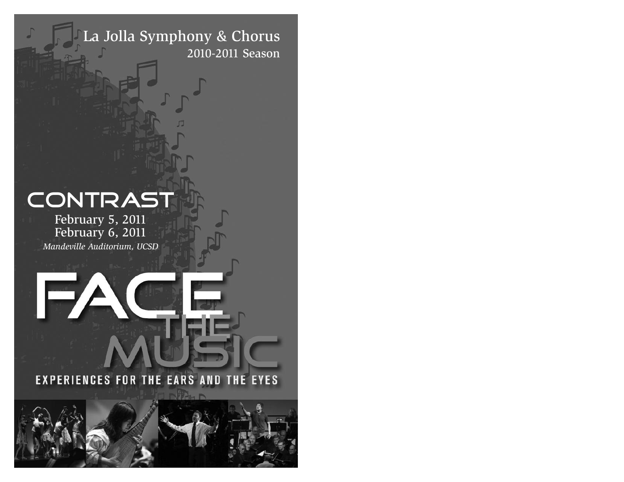La Jolla Symphony & Chorus 2010-2011 Season

# **CONTRAST**

February 5, 2011 February 6, 2011 *Mandeville Auditorium, UCSD*

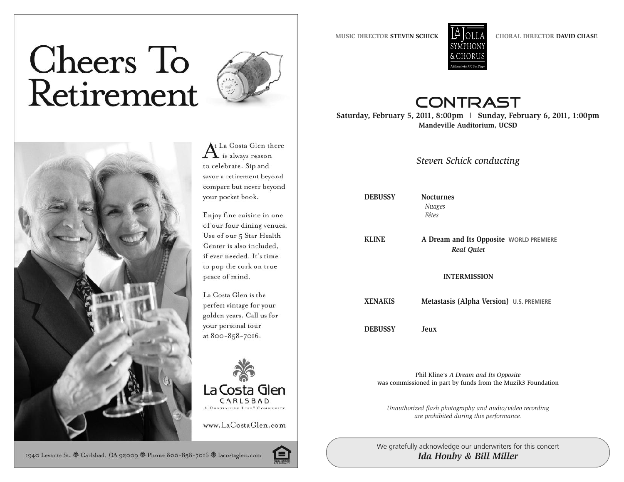# Cheers To Retirement





t La Costa Glen there is always reason to celebrate. Sip and savor a retirement beyond compare but never beyond your pocket book.

Enjoy fine cuisine in one of our four dining venues. Use of our 5 Star Health Center is also included. if ever needed. It's time to pop the cork on true peace of mind.

La Costa Glen is the perfect vintage for your golden years. Call us for your personal tour at 800-858-7016.



13

**MUSIC DIRECTOR STEVEN SCHICK**



**CHORAL DIRECTOR DAVID CHASE**

## CONTRAST

**Saturday, February 5, 2011, 8:00pm** ❘ **Sunday, February 6, 2011, 1:00pm Mandeville Auditorium, UCSD**

*Steven Schick conducting*

**DEBUSSY Nocturnes**

*Nuages Fêtes*

**KLINE A Dream and Its Opposite WORLD PREMIERE** *Real Quiet*

#### **INTERMISSION**

**XENAKIS Metastasis (Alpha Version) U.S. PREMIERE**

**DEBUSSY Jeux**

Phil Kline's *A Dream and Its Opposite* was commissioned in part by funds from the Muzik3 Foundation

*Unauthorized flash photography and audio/video recording are prohibited during this performance.*



We gratefully acknowledge our underwriters for this concert *Ida Houby & Bill Miller*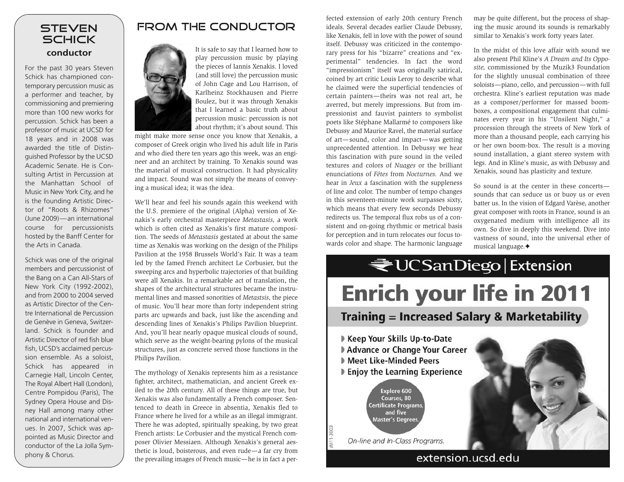

For the past 30 years Steven Schick has championed contemporary percussion music as a performer and teacher, by commissioning and premiering more than 100 new works for percussion. Schick has been a professor of music at UCSD for 18 years and in 2008 was awarded the title of Distinguished Professor by the UCSD Academic Senate. He is Consulting Artist in Percussion at the Manhattan School of Music in New York City, and he is the founding Artistic Director of "Roots & Rhizomes" (June 2009)—an international course for percussionists hosted by the Banff Center for the Arts in Canada.

Schick was one of the original members and percussionist of the Bang on a Can All-Stars of New York City (1992-2002), and from 2000 to 2004 served as Artistic Director of the Centre International de Percussion de Genève in Geneva, Switzerland. Schick is founder and Artistic Director of red fish blue fish, UCSD's acclaimed percussion ensemble. As a soloist, Schick has appeared in Carnegie Hall, Lincoln Center, The Royal Albert Hall (London), Centre Pompidou (Paris), The Sydney Opera House and Disney Hall among many other national and international venues. In 2007, Schick was appointed as Music Director and conductor of the La Jolla Symphony & Chorus.

## FROM THE CONDUCTOR



It is safe to say that I learned how to play percussion music by playing the pieces of Iannis Xenakis. I loved (and still love) the percussion music of John Cage and Lou Harrison, of Karlheinz Stockhausen and Pierre Boulez, but it was through Xenakis that I learned a basic truth about percussion music: percussion is not about rhythm; it's about sound. This

might make more sense once you know that Xenakis, a composer of Greek origin who lived his adult life in Paris and who died there ten years ago this week, was an engineer and an architect by training. To Xenakis sound was the material of musical construction. It had physicality and impact. Sound was not simply the means of conveying a musical idea; it was the idea.

We'll hear and feel his sounds again this weekend with the U.S. premiere of the original (Alpha) version of Xenakis's early orchestral masterpiece *Metastasis,* a work which is often cited as Xenakis's first mature composition. The seeds of *Metastasis* gestated at about the same time as Xenakis was working on the design of the Philips Pavilion at the 1958 Brussels World's Fair. It was a team led by the famed French architect Le Corbusier, but the sweeping arcs and hyperbolic trajectories of that building were all Xenakis. In a remarkable act of translation, the shapes of the architectural structures became the instrumental lines and massed sonorities of *Metastsis,* the piece of music. You'll hear more than forty independent string parts arc upwards and back, just like the ascending and descending lines of Xenakis's Philips Pavilion blueprint. And, you'll hear nearly opaque musical clouds of sound, which serve as the weight-bearing pylons of the musical structures, just as concrete served those functions in the Philips Pavilion.

The mythology of Xenakis represents him as a resistance fighter, architect, mathematician, and ancient Greek exiled to the 20th century. All of these things are true, but Xenakis was also fundamentally a French composer. Sentenced to death in Greece in absentia, Xenakis fled to France where he lived for a while as an illegal immigrant. There he was adopted, spiritually speaking, by two great French artists: Le Corbusier and the mystical French composer Olivier Messiaen. Although Xenakis's general aesthetic is loud, boisterous, and even rude—a far cry from the prevailing images of French music—he is in fact a perfected extension of early 20th century French ideals. Several decades earlier Claude Debussy, like Xenakis, fell in love with the power of sound itself. Debussy was criticized in the contemporary press for his "bizarre" creations and "experimental" tendencies. In fact the word "impressionism" itself was originally satirical, coined by art critic Louis Leroy to describe what he claimed were the superficial tendencies of certain painters—theirs was not real art, he averred, but merely impressions. But from impressionist and fauvist painters to symbolist poets like Stéphane Mallarmé to composers like Debussy and Maurice Ravel, the material surface of art—sound, color and impact—was getting unprecedented attention. In Debussy we hear this fascination with pure sound in the veiled textures and colors of *Nuages* or the brilliant enunciations of *Fêtes* from *Nocturnes.* And we hear in *Jeux* a fascination with the suppleness of line and color. The number of tempo changes in this seventeen-minute work surpasses sixty, which means that every few seconds Debussy redirects us. The temporal flux robs us of a consistent and on-going rhythmic or metrical basis for perception and in turn relocates our focus towards color and shape. The harmonic language may be quite different, but the process of shaping the music around its sounds is remarkably similar to Xenakis's work forty years later.

In the midst of this love affair with sound we also present Phil Kline's *A Dream and Its Opposite,* commissioned by the Muzik3 Foundation for the slightly unusual combination of three soloists—piano, cello, and percussion—with full orchestra. Kline's earliest reputation was made as a composer/performer for massed boomboxes, a compositional engagement that culminates every year in his "Unsilent Night," a procession through the streets of New York of more than a thousand people, each carrying his or her own boom-box. The result is a moving sound installation, a giant stereo system with legs. And in Kline's music, as with Debussy and Xenakis, sound has plasticity and texture.

So sound is at the center in these concerts sounds that can seduce us or buoy us or even batter us. In the vision of Edgard Varèse, another great composer with roots in France, sound is an oxygenated medium with intelligence all its own. So dive in deeply this weekend. Dive into vastness of sound, into the universal ether of musical language.✦



extension.ucsd.edu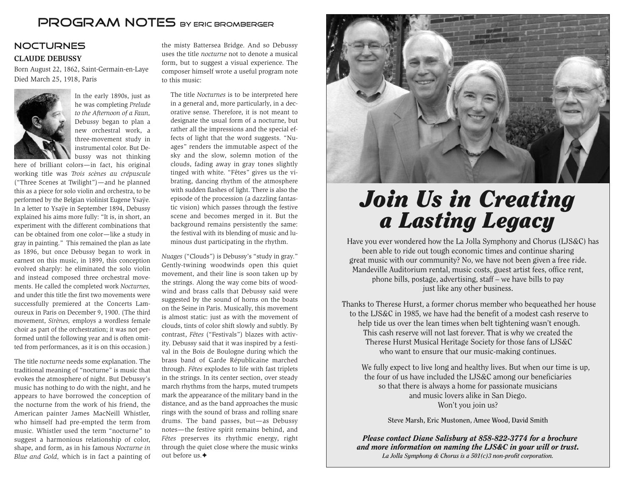## PROGRAM NOTES BY ERIC BROMBERGER

## **NOCTURNES CLAUDE DEBUSSY**

Born August 22, 1862, Saint-Germain-en-Laye Died March 25, 1918, Paris



In the early 1890s, just as he was completing *Prelude to the Afternoon of a Faun,* Debussy began to plan a new orchestral work, a three-movement study in instrumental color. But Debussy was not thinking

here of brilliant colors—in fact, his original working title was *Trois scènes au crépuscule* ("Three Scenes at Twilight")—and he planned this as a piece for solo violin and orchestra, to be performed by the Belgian violinist Eugene Ysaÿe. In a letter to Ysaÿe in September 1894, Debussy explained his aims more fully: "It is, in short, an experiment with the different combinations that can be obtained from one color—like a study in gray in painting." This remained the plan as late as 1896, but once Debussy began to work in earnest on this music, in 1899, this conception evolved sharply: he eliminated the solo violin and instead composed three orchestral movements. He called the completed work *Nocturnes,* and under this title the first two movements were successfully premiered at the Concerts Lamoureux in Paris on December 9, 1900. (The third movement, *Sirènes,* employs a wordless female choir as part of the orchestration; it was not performed until the following year and is often omitted from performances, as it is on this occasion.)

The title *nocturne* needs some explanation. The traditional meaning of "nocturne" is music that evokes the atmosphere of night. But Debussy's music has nothing to do with the night, and he appears to have borrowed the conception of the nocturne from the work of his friend, the American painter James MacNeill Whistler, who himself had pre-empted the term from music. Whistler used the term "nocturne" to suggest a harmonious relationship of color, shape, and form, as in his famous *Nocturne in Blue and Gold,* which is in fact a painting of the misty Battersea Bridge. And so Debussy uses the title *nocturne* not to denote a musical form, but to suggest a visual experience. The composer himself wrote a useful program note to this music:

The title *Nocturnes* is to be interpreted here in a general and, more particularly, in a decorative sense. Therefore, it is not meant to designate the usual form of a nocturne, but rather all the impressions and the special effects of light that the word suggests. "Nuages" renders the immutable aspect of the sky and the slow, solemn motion of the clouds, fading away in gray tones slightly tinged with white. "Fêtes" gives us the vibrating, dancing rhythm of the atmosphere with sudden flashes of light. There is also the episode of the procession (a dazzling fantastic vision) which passes through the festive scene and becomes merged in it. But the background remains persistently the same: the festival with its blending of music and luminous dust participating in the rhythm.

*Nuages* ("Clouds") is Debussy's "study in gray." Gently-twining woodwinds open this quiet movement, and their line is soon taken up by the strings. Along the way come bits of woodwind and brass calls that Debussy said were suggested by the sound of horns on the boats on the Seine in Paris. Musically, this movement is almost static: just as with the movement of clouds, tints of color shift slowly and subtly. By contrast, *Fêtes* ("Festivals") blazes with activity. Debussy said that it was inspired by a festival in the Bois de Boulogne during which the brass band of Garde Républicaine marched through. *Fêtes* explodes to life with fast triplets in the strings. In its center section, over steady march rhythms from the harps, muted trumpets mark the appearance of the military band in the distance, and as the band approaches the music rings with the sound of brass and rolling snare drums. The band passes, but—as Debussy notes—the festive spirit remains behind, and *Fêtes* preserves its rhythmic energy, right through the quiet close where the music winks out before us.✦



## *Join Us in Creating a Lasting Legacy*

Have you ever wondered how the La Jolla Symphony and Chorus (LJS&C) has been able to ride out tough economic times and continue sharing great music with our community? No, we have not been given a free ride. Mandeville Auditorium rental, music costs, guest artist fees, office rent, phone bills, postage, advertising, staff – we have bills to pay just like any other business.

Thanks to Therese Hurst, a former chorus member who bequeathed her house to the LJS&C in 1985, we have had the benefit of a modest cash reserve to help tide us over the lean times when belt tightening wasn't enough. This cash reserve will not last forever. That is why we created the Therese Hurst Musical Heritage Society for those fans of LJS&C who want to ensure that our music-making continues.

We fully expect to live long and healthy lives. But when our time is up, the four of us have included the LJS&C among our beneficiaries so that there is always a home for passionate musicians and music lovers alike in San Diego. Won't you join us?

**Steve Marsh, Eric Mustonen, Amee Wood, David Smith**

*Please contact Diane Salisbury at 858-822-3774 for a brochure and more information on naming the LJS&C in your will or trust. La Jolla Symphony & Chorus is a 501(c)3 non-profit corporation.*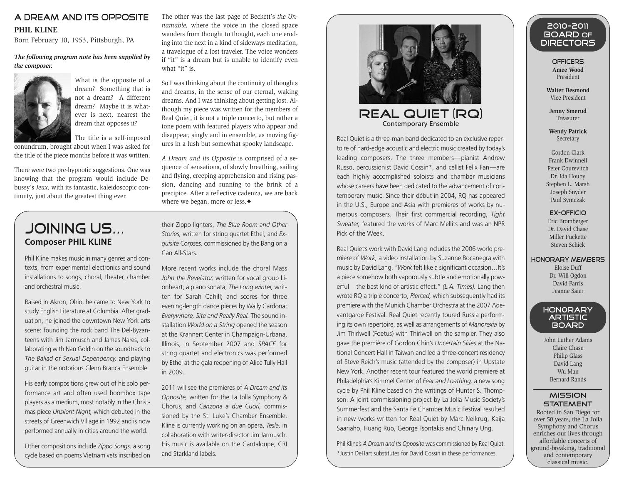## A Dream and Its Opposite **PHIL KLINE**

Born February 10, 1953, Pittsburgh, PA

*The following program note has been supplied by the composer.*



What is the opposite of a dream? Something that is not a dream? A different dream? Maybe it is whatever is next, nearest the dream that opposes it?

The title is a self-imposed

conundrum, brought about when I was asked for the title of the piece months before it was written.

There were two pre-hypnotic suggestions. One was knowing that the program would include Debussy's *Jeux,* with its fantastic, kaleidoscopic continuity, just about the greatest thing ever.

## Joining us*…* **Composer PHIL KLINE**

Phil Kline makes music in many genres and contexts, from experimental electronics and sound installations to songs, choral, theater, chamber and orchestral music.

Raised in Akron, Ohio, he came to New York to study English Literature at Columbia. After graduation, he joined the downtown New York arts scene: founding the rock band The Del-Byzanteens with Jim Jarmusch and James Nares, collaborating with Nan Goldin on the soundtrack to *The Ballad of Sexual Dependency,* and playing guitar in the notorious Glenn Branca Ensemble.

His early compositions grew out of his solo performance art and often used boombox tape players as a medium, most notably in the Christmas piece *Unsilent Night,* which debuted in the streets of Greenwich Village in 1992 and is now performed annually in cities around the world.

Other compositions include *Zippo Songs,* a song cycle based on poems Vietnam vets inscribed on The other was the last page of Beckett's *the Unnamable,* where the voice in the closed space wanders from thought to thought, each one eroding into the next in a kind of sideways meditation, a travelogue of a lost traveler. The voice wonders if "it" is a dream but is unable to identify even what "it" is.

So I was thinking about the continuity of thoughts and dreams, in the sense of our eternal, waking dreams. And I was thinking about getting lost. Although my piece was written for the members of Real Quiet, it is not a triple concerto, but rather a tone poem with featured players who appear and disappear, singly and in ensemble, as moving figures in a lush but somewhat spooky landscape.

*A Dream and Its Opposite* is comprised of a sequence of sensations, of slowly breathing, sailing and flying, creeping apprehension and rising passion, dancing and running to the brink of a precipice. After a reflective cadenza, we are back where we began, more or less.◆

their Zippo lighters, *The Blue Room and Other Stories,* written for string quartet Ethel, and *Exquisite Corpses,* commissioned by the Bang on a Can All-Stars.

More recent works include the choral Mass *John the Revelator,* written for vocal group Lionheart; a piano sonata, *The Long winter,* written for Sarah Cahill; and scores for three evening-length dance pieces by Wally Cardona: *Everywhere, Site and Really Real.* The sound installation *World on a String* opened the season at the Krannert Center in Champaign-Urbana, Illinois, in September 2007 and *SPACE* for string quartet and electronics was performed by Ethel at the gala reopening of Alice Tully Hall in 2009.

2011 will see the premieres of *A Dream and its Opposite,* written for the La Jolla Symphony & Chorus, and *Canzona a due Cuori,* commissioned by the St. Luke's Chamber Ensemble. Kline is currently working on an opera, *Tesla,* in collaboration with writer-director Jim Jarmusch. His music is available on the Cantaloupe, CRI and Starkland labels.



## REAL QUIET (RQ) Contemporary Ensemble

Real Quiet is a three-man band dedicated to an exclusive repertoire of hard-edge acoustic and electric music created by today's leading composers. The three members—pianist Andrew Russo, percussionist David Cossin\*, and cellist Felix Fan—are each highly accomplished soloists and chamber musicians whose careers have been dedicated to the advancement of contemporary music. Since their début in 2004, RQ has appeared in the U.S., Europe and Asia with premieres of works by numerous composers. Their first commercial recording, *Tight Sweater,* featured the works of Marc Mellits and was an NPR Pick of the Week

Real Quiet's work with David Lang includes the 2006 world premiere of *Work,* a video installation by Suzanne Bocanegra with music by David Lang. *"Work* felt like a significant occasion…It's a piece somehow both vaporously subtle and emotionally powerful—the best kind of artistic effect." *(L.A. Times).* Lang then wrote RQ a triple concerto, *Pierced,* which subsequently had its premiere with the Munich Chamber Orchestra at the 2007 Adevantgarde Festival. Real Quiet recently toured Russia performing its own repertoire, as well as arrangements of *Manorexia* by Jim Thirlwell (Foetus) with Thirlwell on the sampler. They also gave the première of Gordon Chin's *Uncertain Skies* at the National Concert Hall in Taiwan and led a three-concert residency of Steve Reich's music (attended by the composer) in Upstate New York. Another recent tour featured the world premiere at Philadelphia's Kimmel Center of *Fear and Loathing,* a new song cycle by Phil Kline based on the writings of Hunter S. Thompson. A joint commissioning project by La Jolla Music Society's Summerfest and the Santa Fe Chamber Music Festival resulted in new works written for Real Quiet by Marc Neikrug, Kaija Saariaho, Huang Ruo, George Tsontakis and Chinary Ung.

Phil Kline's *A Dream and Its Opposite* was commissioned by Real Quiet. \*Justin DeHart substitutes for David Cossin in these performances.

## 2010-2011 Board of **DIRECTORS**

**OFFICERS Amee Wood** President

**Walter Desmond** Vice President

**Jenny Smerud** Treasurer

**Wendy Patrick Secretary** 

Gordon Clark Frank Dwinnell Peter Gourevitch Dr. Ida Houby Stephen L. Marsh Joseph Snyder Paul Symczak

EX-OFFICIO Eric Bromberger Dr. David Chase Miller Puckette Steven Schick

#### HONORARY MEMBERS

Eloise Duff Dr. Will Ogdon David Parris Jeanne Saier

#### **HONORARY ARTISTIC BOARD**

John Luther Adams Claire Chase Philip Glass David Lang Wu Man Bernard Rands

#### MISSION **STATEMENT**

Rooted in San Diego for over 50 years, the La Jolla Symphony and Chorus enriches our lives through affordable concerts of ground-breaking, traditional and contemporary classical music.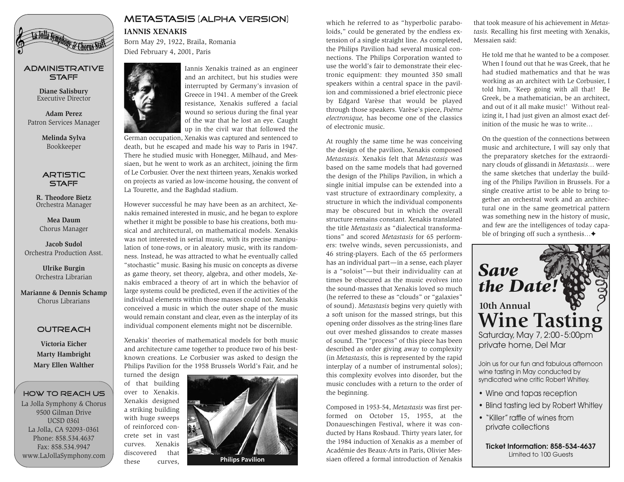

#### **ADMINISTRATIVE STAFF**

**Diane Salisbury** Executive Director

**Adam Perez** Patron Services Manager

> **Melinda Sylva** Bookkeeper

#### **ARTISTIC STAFF**

**R. Theodore Bietz** Orchestra Manager

**Mea Daum** Chorus Manager

**Jacob Sudol** Orchestra Production Asst.

> **Ulrike Burgin** Orchestra Librarian

**Marianne & Dennis Schamp** Chorus Librarians

## **OUTREACH**

**Victoria Eicher Marty Hambright Mary Ellen Walther**

La Jolla Symphony & Chorus 9500 Gilman Drive UCSD 0361 La Jolla, CA 92093-0361 Phone: 858.534.4637 Fax: 858.534.9947 www.LaJollaSymphony.com How to Reach Us

## Metastasis (Alpha version) **IANNIS XENAKIS**

Born May 29, 1922, Braila, Romania Died February 4, 2001, Paris



Iannis Xenakis trained as an engineer and an architect, but his studies were interrupted by Germany's invasion of Greece in 1941. A member of the Greek resistance, Xenakis suffered a facial wound so serious during the final year of the war that he lost an eye. Caught up in the civil war that followed the

German occupation, Xenakis was captured and sentenced to death, but he escaped and made his way to Paris in 1947. There he studied music with Honegger, Milhaud, and Messiaen, but he went to work as an architect, joining the firm of Le Corbusier. Over the next thirteen years, Xenakis worked on projects as varied as low-income housing, the convent of La Tourette, and the Baghdad stadium.

However successful he may have been as an architect, Xenakis remained interested in music, and he began to explore whether it might be possible to base his creations, both musical and architectural, on mathematical models. Xenakis was not interested in serial music, with its precise manipulation of tone-rows, or in aleatory music, with its randomness. Instead, he was attracted to what he eventually called "stochastic" music. Basing his music on concepts as diverse as game theory, set theory, algebra, and other models, Xenakis embraced a theory of art in which the behavior of large systems could be predicted, even if the activities of the individual elements within those masses could not. Xenakis conceived a music in which the outer shape of the music would remain constant and clear, even as the interplay of its individual component elements might not be discernible.

Xenakis' theories of mathematical models for both music and architecture came together to produce two of his bestknown creations. Le Corbusier was asked to design the Philips Pavilion for the 1958 Brussels World's Fair, and he

turned the design of that building over to Xenakis. Xenakis designed a striking building with huge sweeps of reinforced concrete set in vast curves. Xenakis discovered that these curves,



**Philips Pavilion**

which he referred to as "hyperbolic paraboloids," could be generated by the endless extension of a single straight line. As completed, the Philips Pavilion had several musical connections. The Philips Corporation wanted to use the world's fair to demonstrate their electronic equipment: they mounted 350 small speakers within a central space in the pavilion and commissioned a brief electronic piece by Edgard Varèse that would be played through those speakers. Varèse's piece, *Poème electronique,* has become one of the classics of electronic music.

At roughly the same time he was conceiving the design of the pavilion, Xenakis composed *Metastasis.* Xenakis felt that *Metastasis* was based on the same models that had governed the design of the Philips Pavilion, in which a single initial impulse can be extended into a vast structure of extraordinary complexity, a structure in which the individual components may be obscured but in which the overall structure remains constant. Xenakis translated the title *Metastasis* as "dialectical transformations" and scored *Metastasis* for 65 performers: twelve winds, seven percussionists, and 46 string-players. Each of the 65 performers has an individual part—in a sense, each player is a "soloist"—but their individuality can at times be obscured as the music evolves into the sound-masses that Xenakis loved so much (he referred to these as "clouds" or "galaxies" of sound). *Metastasis* begins very quietly with a soft unison for the massed strings, but this opening order dissolves as the string-lines flare out over meshed glissandos to create masses of sound. The "process" of this piece has been described as order giving away to complexity (in *Metastasis,* this is represented by the rapid interplay of a number of instrumental solos); this complexity evolves into disorder, but the music concludes with a return to the order of the beginning.

Composed in 1953-54, *Metastasis* was first performed on October 15, 1955, at the Donaueschingen Festival, where it was conducted by Hans Rosbaud. Thirty years later, for the 1984 induction of Xenakis as a member of Académie des Beaux-Arts in Paris, Olivier Messiaen offered a formal introduction of Xenakis that took measure of his achievement in *Metastasis.* Recalling his first meeting with Xenakis, Messaien said:

He told me that he wanted to be a composer. When I found out that he was Greek, that he had studied mathematics and that he was working as an architect with Le Corbusier, I told him, 'Keep going with all that! Be Greek, be a mathematician, be an architect, and out of it all make music!' Without realizing it, I had just given an almost exact definition of the music he was to write…

On the question of the connections between music and architecture, I will say only that the preparatory sketches for the extraordinary clouds of glissandi in *Metastasis*… were the same sketches that underlay the building of the Philips Pavilion in Brussels. For a single creative artist to be able to bring together an orchestral work and an architectural one in the same geometrical pattern was something new in the history of music, and few are the intelligences of today capable of bringing off such a synthesis…✦



Join us for our fun and fabulous afternoon wine tasting in May conducted by syndicated wine critic Robert Whitley.

- Wine and tapas reception
- Blind tasting led by Robert Whitley
- "Killer" raffle of wines from private collections

**Ticket Information: 858-534-4637** Limited to 100 Guests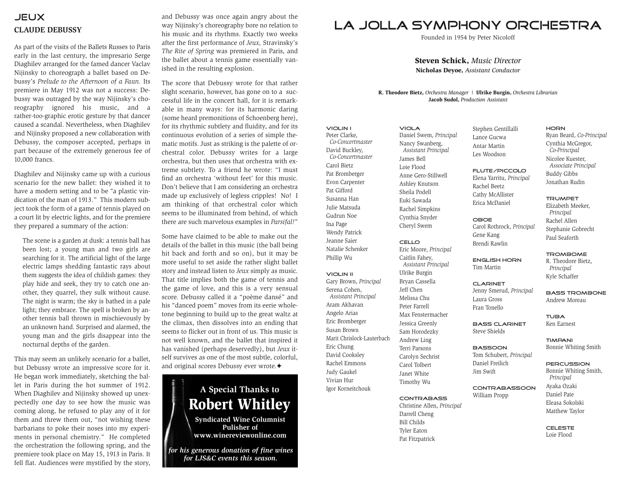## **JEUX CLAUDE DEBUSSY**

As part of the visits of the Ballets Russes to Paris early in the last century, the impresario Serge Diaghilev arranged for the famed dancer Vaclav Nijinsky to choreograph a ballet based on Debussy's *Prelude to the Afternoon of a Faun.* Its premiere in May 1912 was not a success: Debussy was outraged by the way Nijinsky's choreography ignored his music, and a rather-too-graphic erotic gesture by that dancer caused a scandal. Nevertheless, when Diaghilev and Nijinsky proposed a new collaboration with Debussy, the composer accepted, perhaps in part because of the extremely generous fee of 10,000 francs.

Diaghilev and Nijinsky came up with a curious scenario for the new ballet: they wished it to have a modern setting and to be "a plastic vindication of the man of 1913." This modern subject took the form of a game of tennis played on a court lit by electric lights, and for the premiere they prepared a summary of the action:

The scene is a garden at dusk: a tennis ball has been lost; a young man and two girls are searching for it. The artificial light of the large electric lamps shedding fantastic rays about them suggests the idea of childish games: they play hide and seek, they try to catch one another, they quarrel, they sulk without cause. The night is warm; the sky is bathed in a pale light; they embrace. The spell is broken by another tennis ball thrown in mischievously by an unknown hand. Surprised and alarmed, the young man and the girls disappear into the nocturnal depths of the garden.

This may seem an unlikely scenario for a ballet, but Debussy wrote an impressive score for it. He began work immediately, sketching the ballet in Paris during the hot summer of 1912. When Diaghilev and Nijinsky showed up unexpectedly one day to see how the music was coming along, he refused to play any of it for them and threw them out, "not wishing these barbarians to poke their noses into my experiments in personal chemistry." He completed the orchestration the following spring, and the premiere took place on May 15, 1913 in Paris. It fell flat. Audiences were mystified by the story, and Debussy was once again angry about the way Nijinsky's choreography bore no relation to his music and its rhythms. Exactly two weeks after the first performance of *Jeux,* Stravinsky's *The Rite of Spring* was premiered in Paris, and the ballet about a tennis game essentially vanished in the resulting explosion.

The score that Debussy wrote for that rather slight scenario, however, has gone on to a successful life in the concert hall, for it is remarkable in many ways: for its harmonic daring (some heard premonitions of Schoenberg here), for its rhythmic subtlety and fluidity, and for its continuous evolution of a series of simple thematic motifs. Just as striking is the palette of orchestral color. Debussy writes for a large orchestra, but then uses that orchestra with extreme subtlety. To a friend he wrote: "I must find an orchestra 'without feet' for this music. Don't believe that I am considering an orchestra made up exclusively of legless cripples! No! I am thinking of that orchestral color which seems to be illuminated from behind, of which there are such marvelous examples in *Parsifal!*"

Some have claimed to be able to make out the details of the ballet in this music (the ball being hit back and forth and so on), but it may be more useful to set aside the rather slight ballet story and instead listen to *Jeux* simply as music. That title implies both the game of tennis and the game of love, and this is a very sensual score. Debussy called it a "poème dansé" and his "danced poem" moves from its eerie wholetone beginning to build up to the great waltz at the climax, then dissolves into an ending that seems to flicker out in front of us. This music is not well known, and the ballet that inspired it has vanished (perhaps deservedly), but *Jeux* itself survives as one of the most subtle, colorful, and original scores Debussy ever wrote.✦



*for LJS&C events this season.*

## LA JOLLA SYMPHONY ORCHESTRA

Founded in 1954 by Peter Nicoloff

**Steven Schick,** *Music Director*

**Nicholas Deyoe,** *Assistant Conductor*

#### **R. Theodore Bietz,** *Orchestra Manager* ❘ **Ulrike Burgin,** *Orchestra Librarian* **Jacob Sudol,** *Production Assistant*

VIOLIN I Peter Clarke, *Co-Concertmaster* David Buckley, *Co-Concertmaster* Carol Bietz Pat Bromberger Evon Carpenter Pat Gifford Susanna Han Julie Matsuda

Gudrun Noe Ina Page Wendy Patrick Jeanne Saier Natalie Schenker

Phillip Wu

VIOLIN II

Gary Brown, *Principal* Serena Cohen, *Assistant Principal* Aram Akhavan Angelo Arias Eric Bromberger Susan Brown Marit Chrislock-Lauterbach Eric Chung David Cooksley Rachel Emmons Judy Gaukel Vivian Hur

Igor Korneitchouk

VIOLA Daniel Swem, *Principal* Nancy Swanberg, *Assistant Principal* James Bell Loie Flood Anne Gero-Stillwell Ashley Knutson Sheila Podell Euki Sawada Rachel Simpkins Cynthia Snyder Cheryl Swem

CELLO Eric Moore, *Principal* Caitlin Fahey, *Assistant Principal* Ulrike Burgin Bryan Cassella Jeff Chen Melissa Chu Peter Farrell Max Fenstermacher Jessica Greenly Sam Horodezky Andrew Ling Terri Parsons Carolyn Sechrist Carol Tolbert Janet White Timothy Wu

CONTRABASS

Christine Allen, *Principal* Darrell Cheng Bill Childs Tyler Eaton Pat Fitzpatrick

Stephen Gentillalli Lance Gucwa Antar Martin Les Woodson

FLUTE/PICCOLO Elena Yarritu, *Principal* Rachel Beetz

OBOE

CLARINET Jenny Smerud, *Principal*

Laura Gross Fran Tonello

Steve Shields

**BASSOON** Tom Schubert, *Principal* Daniel Freilich Jim Swift

HORN Ryan Beard, *Co-Principal* Cynthia McGregor, *Co-Principal* Nicolee Kuester, *Associate Principal* Buddy Gibbs Jonathan Rudin

Cathy McAllister Erica McDaniel TRUMPET Elizabeth Meeker, *Principal* Rachel Allen

> TROMBOME R. Theodore Bietz, *Principal* Kyle Schaffer

BASS TROMBONE Andrew Moreau

BASS CLARINET TUBA Ken Earnest

> TIMPANI Bonnie Whiting Smith

PERCUSSION Bonnie Whiting Smith, *Principal*

CONTRABASSOON William Propp

Daniel Pate Eleasa Sokolski Matthew Taylor

Ayaka Ozaki

CELESTE Loie Flood

#### Carol Rothrock, *Principal* Gene Kang Brendi Rawlin ENGLISH HORN Tim Martin Stephanie Gobrecht Paul Seaforth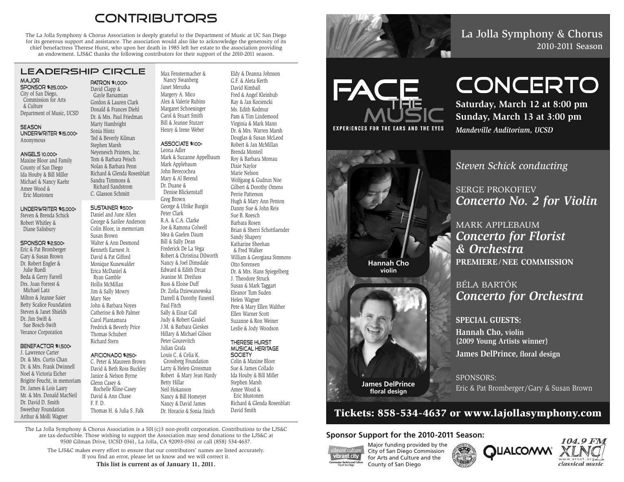## CONTRIBUTORS

The La Jolla Symphony & Chorus Association is deeply grateful to the Department of Music at UC San Diego for its generous support and assistance. The association would also like to acknowledge the generosity of its chief benefactress Therese Hurst, who upon her death in 1985 left her estate to the association providing an endowment. LJS&C thanks the following contributors for their support of the 2010-2011 season.

## LEADERSHIP CIRCLE

#### MAJOR SPONSOR \$25,000+

City of San Diego, Commission for Arts & Culture Department of Music, UCSD

#### **SEASON** UNDERWRITER \$15,000+ Anonymous

### ANGELS 10,000+

Maxine Bloor and Family County of San Diego Ida Houby & Bill Miller Michael & Nancy Kaehr Amee Wood & Eric Mustonen

#### UNDERWRITER \$5,000+

Steven & Brenda Schick Robert Whitley & Diane Salisbury

#### SPONSOR \$2,500+

Eric & Pat Bromberger Gary & Susan Brown Dr. Robert Engler & Julie Ruedi Beda & Gerry Farrell Drs. Joan Forrest & Michael Latz Milton & Jeanne Saier Betty Scalice Foundation Steven & Janet Shields Dr. Jim Swift & Sue Bosch-Swift Verance Corporation

#### BENEFACTOR \$1500+ J. Lawrence Carter

Dr. & Mrs. Curtis Chan Dr. & Mrs. Frank Dwinnell Noel & Victoria Eicher Brigitte Feucht, in memoriam Dr. James & Lois Lasry Mr. & Mrs. Donald MacNeil Dr. David D. Smith Sweetbay Foundation Arthur & Molli Wagner

#### PATRON \$1,000+ David Clapp & Gayle Barsamian Gordon & Lauren Clark Donald & Frances Diehl Dr. & Mrs. Paul Friedman Marty Hambright Max Fenstermacher & Nancy Swanberg Janet Merutka Margery A. Mico Alex & Valerie Rubins Margaret Schoeninger Carol & Stuart Smith Bill & Jeanne Stutzer Henry & Irene Weber

ASSOCIATE \$100+ Leona Adler

Mark Applebaum

Mary & Al Berend Dr. Duane & Denise Blickenstaff Greg Brown George & Ulrike Burgin Peter Clark R.A. & C.A. Clarke Joe & Ramona Colwell Mea & Gaelen Daum Bill & Sally Dean Frederick De La Vega

Nancy & Joel Dimsdale Edward & Edith Drcar Jeanine M. Dreifuss Russ & Eloise Duff Dr. Zofia Dziewanowska

Sonia Hintz Ted & Beverly Kilman Stephen Marsh Neyenesch Printers, Inc. Tom & Barbara Peisch Nolan & Barbara Penn Richard & Glenda Rosenblatt Sandra Timmons & Richard Sandstrom C. Glasson Schmitt John Berecochea

#### SUSTAINER \$500+

Daniel and June Allen George & Sarilee Anderson Colin Bloor, in memoriam Susan Brown Walter & Ann Desmond Kenneth Earnest Jr. David & Pat Gifford Monique Kunewalder Erica McDaniel & Ryan Gamble Hollis McMillan Jim & Sally Mowry Mary Nee John & Barbara Noyes Catherine & Bob Palmer Carol Plantamura Fredrick & Beverly Price Thomas Schubert Richard Stern AFICIONADO \$250+ David & Beth Ross Buckley

## C. Peter & Maureen Brown

Janice & Nelson Byrne Glenn Casey & Rochelle Kline-Casey David & Ann Chase F. F. D.

Thomas H. & Julia S. Falk Grossberg Foundation Larry & Helen Grossman Robert & Mary Jean Hardy Betty Hillar Neil Hokanson Nancy & Bill Homeyer Nancy & David James Dr. Horacio & Sonia Jinich

Paul Fitch Sally & Einar Gall Judy & Robert Gaukel J.M. & Barbara Gieskes Hillary & Michael Gilson Peter Gourevitch Julian Grafa Louis C. & Celia K.

Mark & Suzanne Appelbaum Robert & Christina Dilworth Darrell & Dorothy Fanestil Eldy & Deanna Johnson G.F. & Aleta Kerth David Kimball Fred & Angel Kleinbub Ray & Jan Kociencki Ms. Edith Kodmur Pam & Tim Lindemood Virginia & Mark Mann Dr. & Mrs. Warren Marsh Douglas & Susan McLeod Robert & Jan McMillan Brenda Monteil Roy & Barbara Moreau Dixie Naylor Marie Nelson Wolfgang & Gudrun Noe Gilbert & Dorothy Omens Perrie Patterson Hugh & Mary Ann Penton Danny Sue & John Reis Sue B. Roesch Barbara Rosen Brian & Sherri Schottlaender Sandy Shapery Katharine Sheehan & Fred Walker William & Georgiana Simmons Otto Sorensen Dr. & Mrs. Hans Spiegelberg J. Theodore Struck Susan & Mark Taggart Eleanor Tum Suden Helen Wagner Pete & Mary Ellen Walther Ellen Warner Scott Suzanne & Ron Weiner Leslie & Jody Woodson THERESE HURST

#### MUSICAL HERITAGE **SOCIETY**

Colin & Maxine Bloor Sue & James Collado Ida Houby & Bill Miller Stephen Marsh Amee Wood & Eric Mustonen Richard & Glenda Rosenblatt David Smith



The LJS&C makes every effort to ensure that our contributors' names are listed accurately. If you find an error, please let us know and we will correct it.

**This list is current as of January 11, 2011.**





# **CONCERTO**

La Jolla Symphony & Chorus

2010-2011 Season

**Saturday, March 12 at 8:00 pm Sunday, March 13 at 3:00 pm** *Mandeville Auditorium, UCSD*

*Steven Schick conducting*

SERGE PROKOFIEV *Concerto No. 2 for Violin*

## MARK APPLEBAUM *Concerto for Florist & Orchestra* **PREMIERE/NEE COMMISSION**

## BÉLA BARTÓK *Concerto for Orchestra*

## **SPECIAL GUESTS:**

**Hannah Cho, violin (2009 Young Artists winner)**

**James DelPrince, floral design**

SPONSORS: Eric & Pat Bromberger/Gary & Susan Brown

## **Tickets: 858-534-4637 or www.lajollasymphony.com**

## **Sponsor Support for the 2010-2011 Season:**



Major funding provided by the City of San Diego Commission for Arts and Culture and the County of San Diego